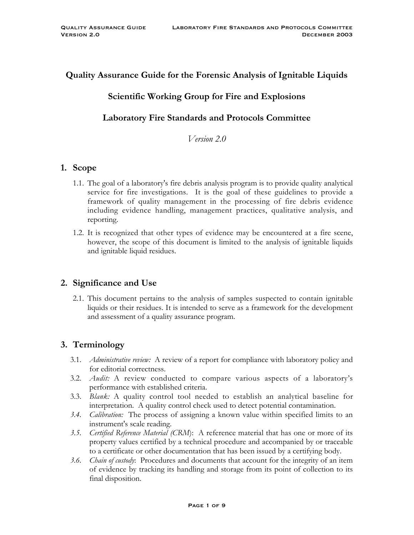# **Quality Assurance Guide for the Forensic Analysis of Ignitable Liquids**

# **Scientific Working Group for Fire and Explosions**

# **Laboratory Fire Standards and Protocols Committee**

*Version 2.0*

#### **1. Scope**

- 1.1. The goal of a laboratory's fire debris analysis program is to provide quality analytical service for fire investigations. It is the goal of these guidelines to provide a framework of quality management in the processing of fire debris evidence including evidence handling, management practices, qualitative analysis, and reporting.
- 1.2. It is recognized that other types of evidence may be encountered at a fire scene, however, the scope of this document is limited to the analysis of ignitable liquids and ignitable liquid residues.

### **2. Significance and Use**

2.1. This document pertains to the analysis of samples suspected to contain ignitable liquids or their residues. It is intended to serve as a framework for the development and assessment of a quality assurance program.

# **3. Terminology**

- 3.1. *Administrative review:* A review of a report for compliance with laboratory policy and for editorial correctness.
- 3.2. *Audit:* A review conducted to compare various aspects of a laboratory's performance with established criteria.
- 3.3. *Blank:* A quality control tool needed to establish an analytical baseline for interpretation. A quality control check used to detect potential contamination.
- *3.4. Calibration:* The process of assigning a known value within specified limits to an instrument's scale reading.
- *3.5. Certified Reference Material (CRM*): A reference material that has one or more of its property values certified by a technical procedure and accompanied by or traceable to a certificate or other documentation that has been issued by a certifying body.
- *3.6. Chain of custody*: Procedures and documents that account for the integrity of an item of evidence by tracking its handling and storage from its point of collection to its final disposition.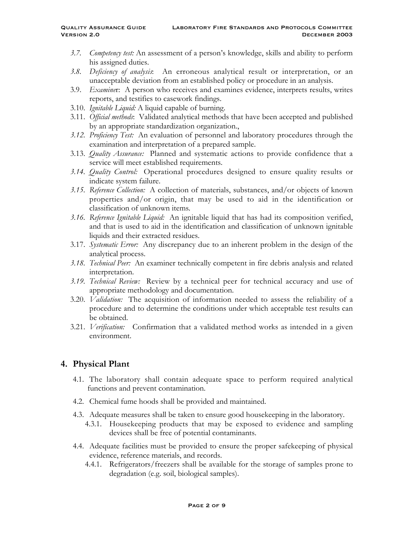- *3.7. Competency test:* An assessment of a person's knowledge, skills and ability to perform his assigned duties.
- *3.8. Deficiency of analysis*: An erroneous analytical result or interpretation, or an unacceptable deviation from an established policy or procedure in an analysis.
- 3.9. *Examine*r: A person who receives and examines evidence, interprets results, writes reports, and testifies to casework findings.
- 3.10. *Ignitable Liquid:* A liquid capable of burning.
- 3.11. *Official methods*: Validated analytical methods that have been accepted and published by an appropriate standardization organization.,
- *3.12. Proficiency Test:* An evaluation of personnel and laboratory procedures through the examination and interpretation of a prepared sample.
- 3.13. *Quality Assurance:* Planned and systematic actions to provide confidence that a service will meet established requirements.
- *3.14. Quality Control:* Operational procedures designed to ensure quality results or indicate system failure.
- *3.15. Reference Collection:* A collection of materials, substances, and/or objects of known properties and/or origin, that may be used to aid in the identification or classification of unknown items*.*
- *3.16. Reference Ignitable Liquid:* An ignitable liquid that has had its composition verified, and that is used to aid in the identification and classification of unknown ignitable liquids and their extracted residues.
- 3.17. *Systematic Error:* Any discrepancy due to an inherent problem in the design of the analytical process.
- *3.18. Technical Peer:* An examiner technically competent in fire debris analysis and related interpretation.
- *3.19. Technical Review:* Review by a technical peer for technical accuracy and use of appropriate methodology and documentation.
- 3.20. *Validation:* The acquisition of information needed to assess the reliability of a procedure and to determine the conditions under which acceptable test results can be obtained.
- 3.21. *Verification:* Confirmation that a validated method works as intended in a given environment.

### **4. Physical Plant**

- 4.1. The laboratory shall contain adequate space to perform required analytical functions and prevent contamination.
- 4.2. Chemical fume hoods shall be provided and maintained.
- 4.3. Adequate measures shall be taken to ensure good housekeeping in the laboratory.
	- 4.3.1. Housekeeping products that may be exposed to evidence and sampling devices shall be free of potential contaminants.
- 4.4. Adequate facilities must be provided to ensure the proper safekeeping of physical evidence, reference materials, and records.
	- 4.4.1. Refrigerators/freezers shall be available for the storage of samples prone to degradation (e.g. soil, biological samples).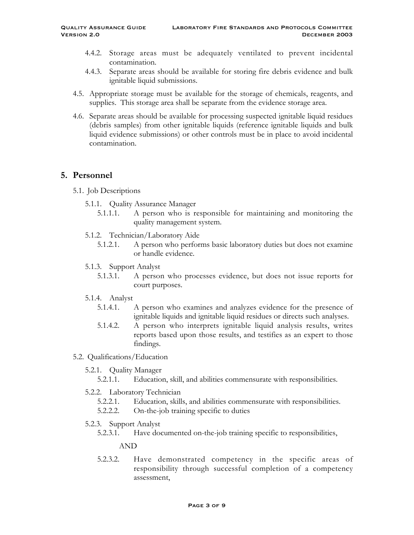- 4.4.2. Storage areas must be adequately ventilated to prevent incidental contamination.
- 4.4.3. Separate areas should be available for storing fire debris evidence and bulk ignitable liquid submissions.
- 4.5. Appropriate storage must be available for the storage of chemicals, reagents, and supplies. This storage area shall be separate from the evidence storage area.
- 4.6. Separate areas should be available for processing suspected ignitable liquid residues (debris samples) from other ignitable liquids (reference ignitable liquids and bulk liquid evidence submissions) or other controls must be in place to avoid incidental contamination.

# **5. Personnel**

5.1. Job Descriptions

- 5.1.1. Quality Assurance Manager
	- 5.1.1.1. A person who is responsible for maintaining and monitoring the quality management system.
- 5.1.2. Technician/Laboratory Aide
	- 5.1.2.1. A person who performs basic laboratory duties but does not examine or handle evidence.
- 5.1.3. Support Analyst
	- 5.1.3.1. A person who processes evidence, but does not issue reports for court purposes.
- 5.1.4. Analyst
	- 5.1.4.1. A person who examines and analyzes evidence for the presence of ignitable liquids and ignitable liquid residues or directs such analyses.
	- 5.1.4.2. A person who interprets ignitable liquid analysis results, writes reports based upon those results, and testifies as an expert to those findings.
- 5.2. Qualifications/Education
	- 5.2.1. Quality Manager
		- 5.2.1.1. Education, skill, and abilities commensurate with responsibilities.
	- 5.2.2. Laboratory Technician
		- 5.2.2.1. Education, skills, and abilities commensurate with responsibilities.
		- 5.2.2.2. On-the-job training specific to duties
	- 5.2.3. Support Analyst
		- 5.2.3.1. Have documented on-the-job training specific to responsibilities,

#### AND

5.2.3.2. Have demonstrated competency in the specific areas of responsibility through successful completion of a competency assessment,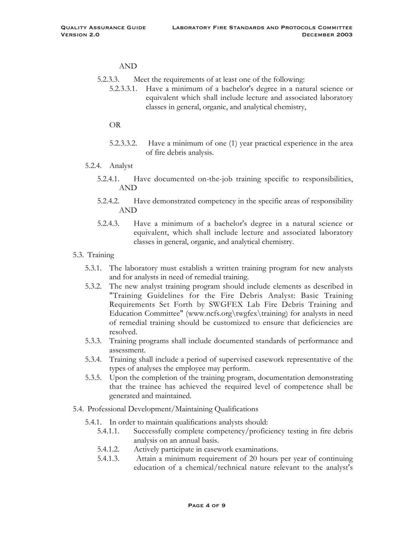#### AND

- 5.2.3.3. Meet the requirements of at least one of the following:
	- 5.2.3.3.1. Have a minimum of a bachelor's degree in a natural science or equivalent which shall include lecture and associated laboratory classes in general, organic, and analytical chemistry,

OR

- 5.2.3.3.2. Have a minimum of one (1) year practical experience in the area of fire debris analysis.
- 5.2.4. Analyst
	- 5.2.4.1. Have documented on-the-job training specific to responsibilities, AND
	- 5.2.4.2. Have demonstrated competency in the specific areas of responsibility AND
	- 5.2.4.3. Have a minimum of a bachelor's degree in a natural science or equivalent, which shall include lecture and associated laboratory classes in general, organic, and analytical chemistry.
- 5.3. Training
	- 5.3.1. The laboratory must establish a written training program for new analysts and for analysts in need of remedial training.
	- 5.3.2. The new analyst training program should include elements as described in "Training Guidelines for the Fire Debris Analyst: Basic Training Requirements Set Forth by SWGFEX Lab Fire Debris Training and Education Committee" (www.ncfs.org\twgfex\training) for analysts in need of remedial training should be customized to ensure that deficiencies are resolved.
	- 5.3.3. Training programs shall include documented standards of performance and assessment.
	- 5.3.4. Training shall include a period of supervised casework representative of the types of analyses the employee may perform.
	- 5.3.5. Upon the completion of the training program, documentation demonstrating that the trainee has achieved the required level of competence shall be generated and maintained.
- 5.4. Professional Development/Maintaining Qualifications
	- 5.4.1. In order to maintain qualifications analysts should:
		- 5.4.1.1. Successfully complete competency/proficiency testing in fire debris analysis on an annual basis.
		- 5.4.1.2. Actively participate in casework examinations.
		- 5.4.1.3. Attain a minimum requirement of 20 hours per year of continuing education of a chemical/technical nature relevant to the analyst's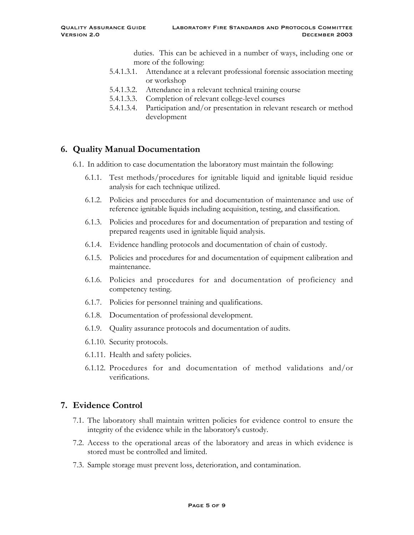duties. This can be achieved in a number of ways, including one or more of the following:

- 5.4.1.3.1. Attendance at a relevant professional forensic association meeting or workshop
- 5.4.1.3.2. Attendance in a relevant technical training course
- 5.4.1.3.3. Completion of relevant college-level courses
- 5.4.1.3.4. Participation and/or presentation in relevant research or method development

# **6. Quality Manual Documentation**

- 6.1. In addition to case documentation the laboratory must maintain the following:
	- 6.1.1. Test methods/procedures for ignitable liquid and ignitable liquid residue analysis for each technique utilized.
	- 6.1.2. Policies and procedures for and documentation of maintenance and use of reference ignitable liquids including acquisition, testing, and classification.
	- 6.1.3. Policies and procedures for and documentation of preparation and testing of prepared reagents used in ignitable liquid analysis.
	- 6.1.4. Evidence handling protocols and documentation of chain of custody.
	- 6.1.5. Policies and procedures for and documentation of equipment calibration and maintenance.
	- 6.1.6. Policies and procedures for and documentation of proficiency and competency testing.
	- 6.1.7. Policies for personnel training and qualifications.
	- 6.1.8. Documentation of professional development.
	- 6.1.9. Quality assurance protocols and documentation of audits.
	- 6.1.10. Security protocols.
	- 6.1.11. Health and safety policies.
	- 6.1.12. Procedures for and documentation of method validations and/or verifications.

### **7. Evidence Control**

- 7.1. The laboratory shall maintain written policies for evidence control to ensure the integrity of the evidence while in the laboratory's custody.
- 7.2. Access to the operational areas of the laboratory and areas in which evidence is stored must be controlled and limited.
- 7.3. Sample storage must prevent loss, deterioration, and contamination.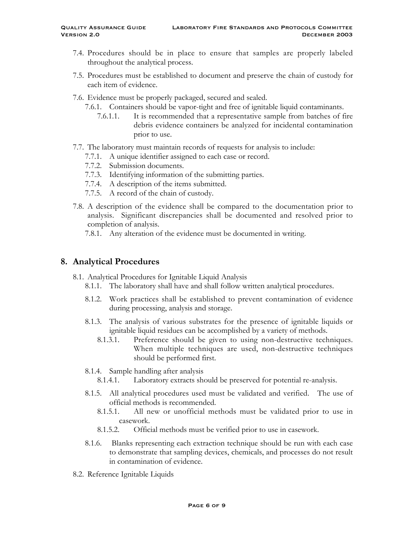- 7.4. Procedures should be in place to ensure that samples are properly labeled throughout the analytical process.
- 7.5. Procedures must be established to document and preserve the chain of custody for each item of evidence.
- 7.6. Evidence must be properly packaged, secured and sealed.
	- 7.6.1. Containers should be vapor-tight and free of ignitable liquid contaminants.
		- 7.6.1.1. It is recommended that a representative sample from batches of fire debris evidence containers be analyzed for incidental contamination prior to use.
- 7.7. The laboratory must maintain records of requests for analysis to include:
	- 7.7.1. A unique identifier assigned to each case or record.
	- 7.7.2. Submission documents.
	- 7.7.3. Identifying information of the submitting parties.
	- 7.7.4. A description of the items submitted.
	- 7.7.5. A record of the chain of custody.
- 7.8. A description of the evidence shall be compared to the documentation prior to analysis. Significant discrepancies shall be documented and resolved prior to completion of analysis.
	- 7.8.1. Any alteration of the evidence must be documented in writing.

### **8. Analytical Procedures**

- 8.1. Analytical Procedures for Ignitable Liquid Analysis
	- 8.1.1. The laboratory shall have and shall follow written analytical procedures.
	- 8.1.2. Work practices shall be established to prevent contamination of evidence during processing, analysis and storage.
	- 8.1.3. The analysis of various substrates for the presence of ignitable liquids or ignitable liquid residues can be accomplished by a variety of methods.
		- 8.1.3.1. Preference should be given to using non-destructive techniques. When multiple techniques are used, non-destructive techniques should be performed first.
	- 8.1.4. Sample handling after analysis
		- 8.1.4.1. Laboratory extracts should be preserved for potential re-analysis.
	- 8.1.5. All analytical procedures used must be validated and verified. The use of official methods is recommended.
		- 8.1.5.1. All new or unofficial methods must be validated prior to use in casework.
		- 8.1.5.2. Official methods must be verified prior to use in casework.
	- 8.1.6. Blanks representing each extraction technique should be run with each case to demonstrate that sampling devices, chemicals, and processes do not result in contamination of evidence.
- 8.2. Reference Ignitable Liquids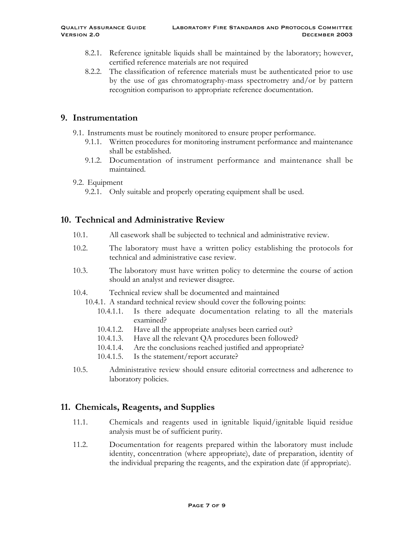- 8.2.1. Reference ignitable liquids shall be maintained by the laboratory; however, certified reference materials are not required
- 8.2.2. The classification of reference materials must be authenticated prior to use by the use of gas chromatography-mass spectrometry and/or by pattern recognition comparison to appropriate reference documentation.

#### **9. Instrumentation**

- 9.1. Instruments must be routinely monitored to ensure proper performance.
	- 9.1.1. Written procedures for monitoring instrument performance and maintenance shall be established.
	- 9.1.2. Documentation of instrument performance and maintenance shall be maintained.

#### 9.2. Equipment

9.2.1. Only suitable and properly operating equipment shall be used.

### **10. Technical and Administrative Review**

- 10.1. All casework shall be subjected to technical and administrative review.
- 10.2. The laboratory must have a written policy establishing the protocols for technical and administrative case review.
- 10.3. The laboratory must have written policy to determine the course of action should an analyst and reviewer disagree.
- 10.4. Technical review shall be documented and maintained

10.4.1. A standard technical review should cover the following points:

- 10.4.1.1. Is there adequate documentation relating to all the materials examined?
- 10.4.1.2. Have all the appropriate analyses been carried out?
- 10.4.1.3. Have all the relevant QA procedures been followed?
- 10.4.1.4. Are the conclusions reached justified and appropriate?
- 10.4.1.5. Is the statement/report accurate?
- 10.5. Administrative review should ensure editorial correctness and adherence to laboratory policies.

### **11. Chemicals, Reagents, and Supplies**

- 11.1. Chemicals and reagents used in ignitable liquid/ignitable liquid residue analysis must be of sufficient purity.
- 11.2. Documentation for reagents prepared within the laboratory must include identity, concentration (where appropriate), date of preparation, identity of the individual preparing the reagents, and the expiration date (if appropriate).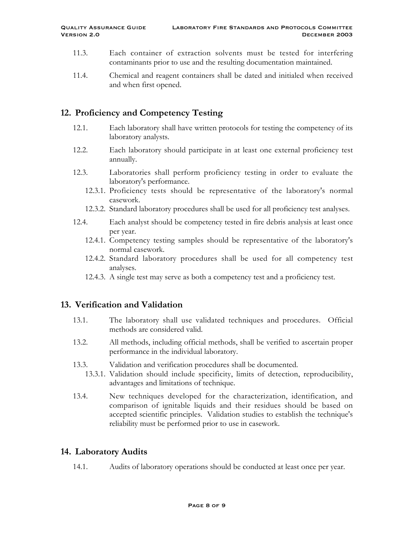- 11.3. Each container of extraction solvents must be tested for interfering contaminants prior to use and the resulting documentation maintained.
- 11.4. Chemical and reagent containers shall be dated and initialed when received and when first opened.

# **12. Proficiency and Competency Testing**

- 12.1. Each laboratory shall have written protocols for testing the competency of its laboratory analysts.
- 12.2. Each laboratory should participate in at least one external proficiency test annually.
- 12.3. Laboratories shall perform proficiency testing in order to evaluate the laboratory's performance.
	- 12.3.1. Proficiency tests should be representative of the laboratory's normal casework.
	- 12.3.2. Standard laboratory procedures shall be used for all proficiency test analyses.
- 12.4. Each analyst should be competency tested in fire debris analysis at least once per year.
	- 12.4.1. Competency testing samples should be representative of the laboratory's normal casework.
	- 12.4.2. Standard laboratory procedures shall be used for all competency test analyses.
	- 12.4.3. A single test may serve as both a competency test and a proficiency test.

#### **13. Verification and Validation**

- 13.1. The laboratory shall use validated techniques and procedures. Official methods are considered valid.
- 13.2. All methods, including official methods, shall be verified to ascertain proper performance in the individual laboratory.
- 13.3. Validation and verification procedures shall be documented.
	- 13.3.1. Validation should include specificity, limits of detection, reproducibility, advantages and limitations of technique.
- 13.4. New techniques developed for the characterization, identification, and comparison of ignitable liquids and their residues should be based on accepted scientific principles. Validation studies to establish the technique's reliability must be performed prior to use in casework.

### **14. Laboratory Audits**

14.1. Audits of laboratory operations should be conducted at least once per year.